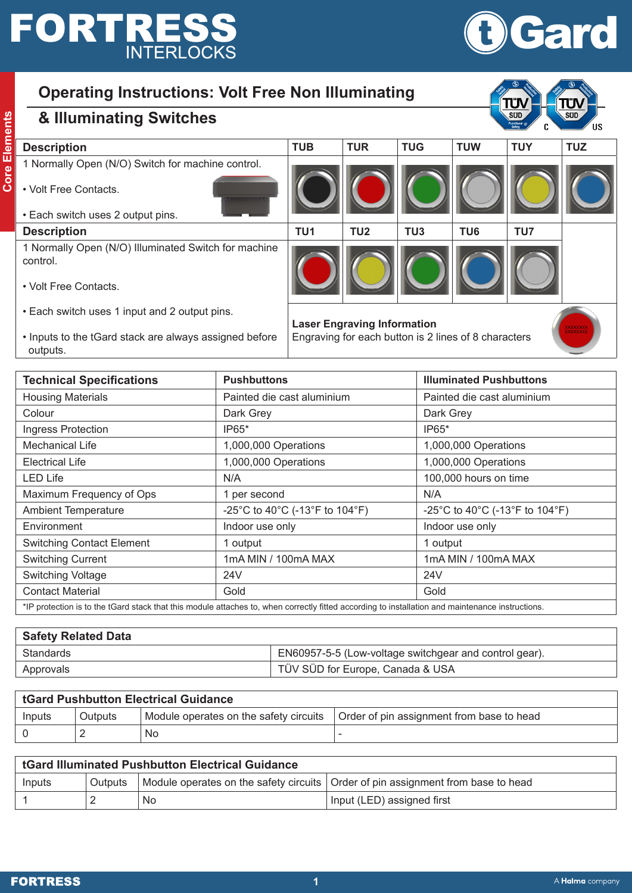# **FORTRESS**



## **Operating Instructions: Volt Free Non Illuminating**

|   |                                                                                                                           |                        | I |
|---|---------------------------------------------------------------------------------------------------------------------------|------------------------|---|
|   |                                                                                                                           |                        |   |
|   |                                                                                                                           |                        |   |
|   | ï<br><b>Contract Contract Contract Contract Contract Contract Contract Contract Contract Contract Contract Contract C</b> | <b>Service Service</b> |   |
|   | i                                                                                                                         | ۰.<br>c.               |   |
|   | I<br>$\mathcal{L}(\mathcal{L})$<br>I                                                                                      | -                      |   |
|   | í                                                                                                                         |                        |   |
|   | r.                                                                                                                        | ۰.                     |   |
| ۰ | --                                                                                                                        |                        |   |
|   |                                                                                                                           |                        |   |
|   |                                                                                                                           |                        |   |

#### **& Illuminating Switches**

| ements | & Illuminating Switches                                          |                 |                                    |                 |                 | SUD.       | SUD,       |
|--------|------------------------------------------------------------------|-----------------|------------------------------------|-----------------|-----------------|------------|------------|
|        | <b>Description</b>                                               | <b>TUB</b>      | <b>TUR</b>                         | <b>TUG</b>      | <b>TUW</b>      | <b>TUY</b> | <b>TUZ</b> |
| Core   | 1 Normally Open (N/O) Switch for machine control.                |                 |                                    |                 |                 |            |            |
|        | • Volt Free Contacts.                                            |                 |                                    |                 |                 |            |            |
|        | • Each switch uses 2 output pins.                                |                 |                                    |                 |                 |            |            |
|        | <b>Description</b>                                               | TU <sub>1</sub> | TU <sub>2</sub>                    | TU <sub>3</sub> | TU <sub>6</sub> | TU7        |            |
|        | 1 Normally Open (N/O) Illuminated Switch for machine<br>control. |                 |                                    |                 |                 |            |            |
|        | • Volt Free Contacts.                                            |                 |                                    |                 |                 |            |            |
|        | • Each switch uses 1 input and 2 output pins.                    |                 | <b>Laser Engraving Information</b> |                 |                 |            | xxxxxx     |

• Inputs to the tGard stack are always assigned before outputs.

Engraving for each button is 2 lines of 8 characters

| <b>Technical Specifications</b>                                                                                                                | <b>Pushbuttons</b>             | <b>Illuminated Pushbuttons</b> |  |
|------------------------------------------------------------------------------------------------------------------------------------------------|--------------------------------|--------------------------------|--|
| <b>Housing Materials</b>                                                                                                                       | Painted die cast aluminium     | Painted die cast aluminium     |  |
| Colour                                                                                                                                         | Dark Grey                      | Dark Grey                      |  |
| Ingress Protection                                                                                                                             | IP65*                          | IP65*                          |  |
| <b>Mechanical Life</b>                                                                                                                         | 1,000,000 Operations           | 1,000,000 Operations           |  |
| <b>Electrical Life</b>                                                                                                                         | 1,000,000 Operations           | 1,000,000 Operations           |  |
| <b>LED Life</b>                                                                                                                                | N/A                            | 100,000 hours on time          |  |
| Maximum Frequency of Ops                                                                                                                       | 1 per second                   | N/A                            |  |
| <b>Ambient Temperature</b>                                                                                                                     | -25°C to 40°C (-13°F to 104°F) | -25°C to 40°C (-13°F to 104°F) |  |
| Environment                                                                                                                                    | Indoor use only                | Indoor use only                |  |
| <b>Switching Contact Element</b>                                                                                                               | 1 output                       | 1 output                       |  |
| <b>Switching Current</b>                                                                                                                       | 1mA MIN / 100mA MAX            | 1mA MIN / 100mA MAX            |  |
| <b>Switching Voltage</b>                                                                                                                       | 24 <sub>V</sub>                | 24 <sub>V</sub>                |  |
| <b>Contact Material</b>                                                                                                                        | Gold                           | Gold                           |  |
| *IP protection is to the tGard stack that this module attaches to when correctly fitted according to installation and maintenance instructions |                                |                                |  |

\*IP protection is to the tGard stack that this module attaches to, when correctly fitted according to installation and maintenance instructions.

| <b>Safety Related Data</b> |                                                        |
|----------------------------|--------------------------------------------------------|
| Standards                  | EN60957-5-5 (Low-voltage switchgear and control gear). |
| Approvals                  | TÜV SÜD for Europe, Canada & USA                       |

| tGard Pushbutton Electrical Guidance |         |                                        |                                           |
|--------------------------------------|---------|----------------------------------------|-------------------------------------------|
| Inputs                               | Outputs | Module operates on the safety circuits | Order of pin assignment from base to head |
|                                      |         | No                                     |                                           |

| <b>tGard Illuminated Pushbutton Electrical Guidance</b> |                |    |                                                                                    |
|---------------------------------------------------------|----------------|----|------------------------------------------------------------------------------------|
| Inputs                                                  | <b>Outputs</b> |    | Module operates on the safety circuits   Order of pin assignment from base to head |
|                                                         |                | No | Input (LED) assigned first                                                         |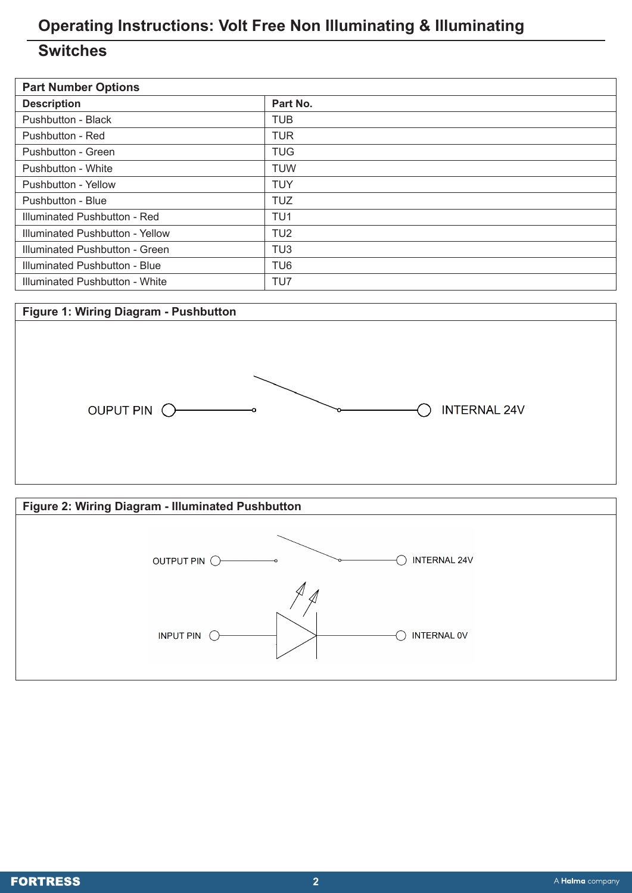## **Operating Instructions: Volt Free Non Illuminating & Illuminating**

#### **Switches**

| <b>Part Number Options</b>      |                 |  |  |  |
|---------------------------------|-----------------|--|--|--|
| <b>Description</b>              | Part No.        |  |  |  |
| Pushbutton - Black              | <b>TUB</b>      |  |  |  |
| Pushbutton - Red                | <b>TUR</b>      |  |  |  |
| Pushbutton - Green              | <b>TUG</b>      |  |  |  |
| Pushbutton - White              | <b>TUW</b>      |  |  |  |
| Pushbutton - Yellow             | <b>TUY</b>      |  |  |  |
| Pushbutton - Blue               | <b>TUZ</b>      |  |  |  |
| Illuminated Pushbutton - Red    | TU <sub>1</sub> |  |  |  |
| Illuminated Pushbutton - Yellow | TU <sub>2</sub> |  |  |  |
| Illuminated Pushbutton - Green  | TU <sub>3</sub> |  |  |  |
| Illuminated Pushbutton - Blue   | TU <sub>6</sub> |  |  |  |
| Illuminated Pushbutton - White  | TU7             |  |  |  |